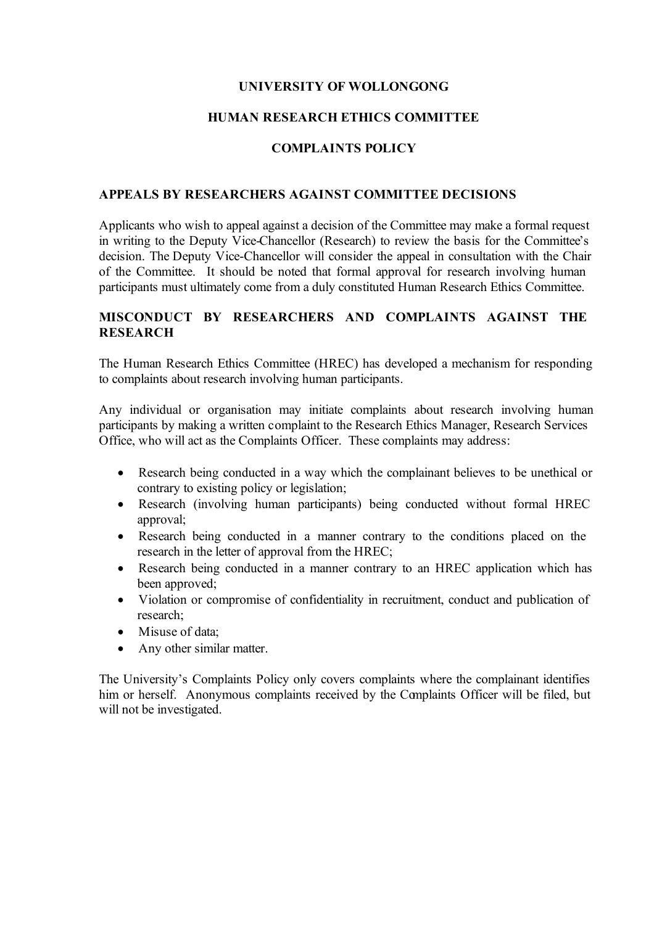### **UNIVERSITY OF WOLLONGONG**

### **HUMAN RESEARCH ETHICS COMMITTEE**

# **COMPLAINTS POLICY**

### **APPEALS BY RESEARCHERS AGAINST COMMITTEE DECISIONS**

Applicants who wish to appeal against a decision of the Committee may make a formal request in writing to the Deputy Vice-Chancellor (Research) to review the basis for the Committee's decision. The Deputy Vice-Chancellor will consider the appeal in consultation with the Chair of the Committee. It should be noted that formal approval for research involving human participants must ultimately come from a duly constituted Human Research Ethics Committee.

## **MISCONDUCT BY RESEARCHERS AND COMPLAINTS AGAINST THE RESEARCH**

The Human Research Ethics Committee (HREC) has developed a mechanism for responding to complaints about research involving human participants.

Any individual or organisation may initiate complaints about research involving human participants by making a written complaint to the Research Ethics Manager, Research Services Office, who will act as the Complaints Officer. These complaints may address:

- Research being conducted in a way which the complainant believes to be unethical or contrary to existing policy or legislation;
- Research (involving human participants) being conducted without formal HREC approval;
- Research being conducted in a manner contrary to the conditions placed on the research in the letter of approval from the HREC;
- Research being conducted in a manner contrary to an HREC application which has been approved;
- Violation or compromise of confidentiality in recruitment, conduct and publication of research;
- Misuse of data:
- Any other similar matter.

The University's Complaints Policy only covers complaints where the complainant identifies him or herself. Anonymous complaints received by the Complaints Officer will be filed, but will not be investigated.